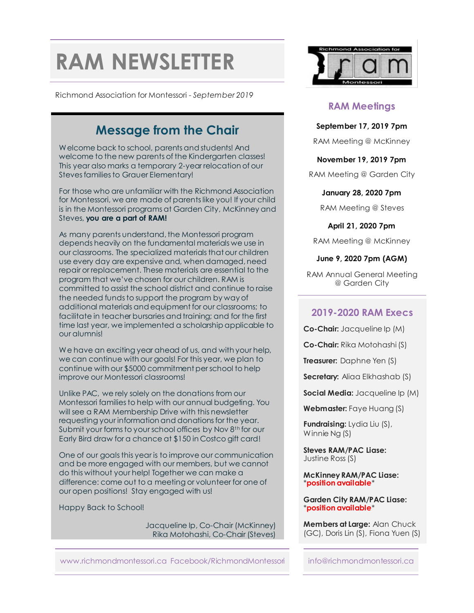# **RAM NEWSLETTER**

Richmond Association for Montessori - *September 2019*

### **Message from the Chair**

Welcome back to school, parents and students! And welcome to the new parents of the Kindergarten classes! This year also marks a temporary 2-year relocation of our Steves families to Grauer Elementary!

For those who are unfamiliar with the Richmond Association for Montessori, we are made of parents like you! If your child is in the Montessori programs at Garden City, McKinney and Steves, **you are a part of RAM!**

As many parents understand, the Montessori program depends heavily on the fundamental materials we use in our classrooms. The specialized materials that our children use every day are expensive and, when damaged, need repair or replacement. These materials are essential to the program that we've chosen for our children. RAM is committed to assist the school district and continue to raise the needed funds to support the program by way of additional materials and equipment for our classrooms; to facilitate in teacher bursaries and training; and for the first time last year, we implemented a scholarship applicable to our alumnis!

We have an exciting year ahead of us, and with your help, we can continue with our goals! For this year, we plan to continue with our \$5000 commitment per school to help improve our Montessori classrooms!

Unlike PAC, we rely solely on the donations from our Montessori familiesto help with our annual budgeting. You will see a RAM Membership Drive with this newsletter requesting your information and donations for the year. Submit your forms to your school offices by Nov 8<sup>th</sup> for our Early Bird draw for a chance at \$150 in Costco gift card!

One of our goals this year is to improve our communication and be more engaged with our members, but we cannot do this without your help! Together we can make a difference: come out to a meeting or volunteer for one of our open positions! Stay engaged with us!

Happy Back to School!

Jacqueline Ip, Co-Chair (McKinney) Rika Motohashi, Co-Chair (Steves)



#### **RAM Meetings**

**September 17, 2019 7pm**

RAM Meeting @ McKinney

**November 19, 2019 7pm**

RAM Meeting @ Garden City

**January 28, 2020 7pm**

RAM Meeting @ Steves

**April 21, 2020 7pm**

RAM Meeting @ McKinney

**June 9, 2020 7pm (AGM)**

RAM Annual General Meeting @ Garden City

#### **2019-2020 RAM Execs**

**Co-Chair:** Jacqueline Ip (M)

**Co-Chair:** Rika Motohashi (S)

**Treasurer:** Daphne Yen (S)

**Secretary:** Aliaa Elkhashab (S)

**Social Media:** Jacqueline Ip (M)

**Webmaster:** Faye Huang (S)

**Fundraising:** Lydia Liu (S), Winnie Ng (S)

**Steves RAM/PAC Liase:** Justine Ross (S)

**McKinney RAM/PAC Liase:** \***position available**\*

**Garden City RAM/PAC Liase:** \***position available**\*

**Members at Large:** Alan Chuck (GC), Doris Lin (S), Fiona Yuen (S)

www.richmondmontessori.ca Facebook/RichmondMontessori info@richmondmontessori.ca